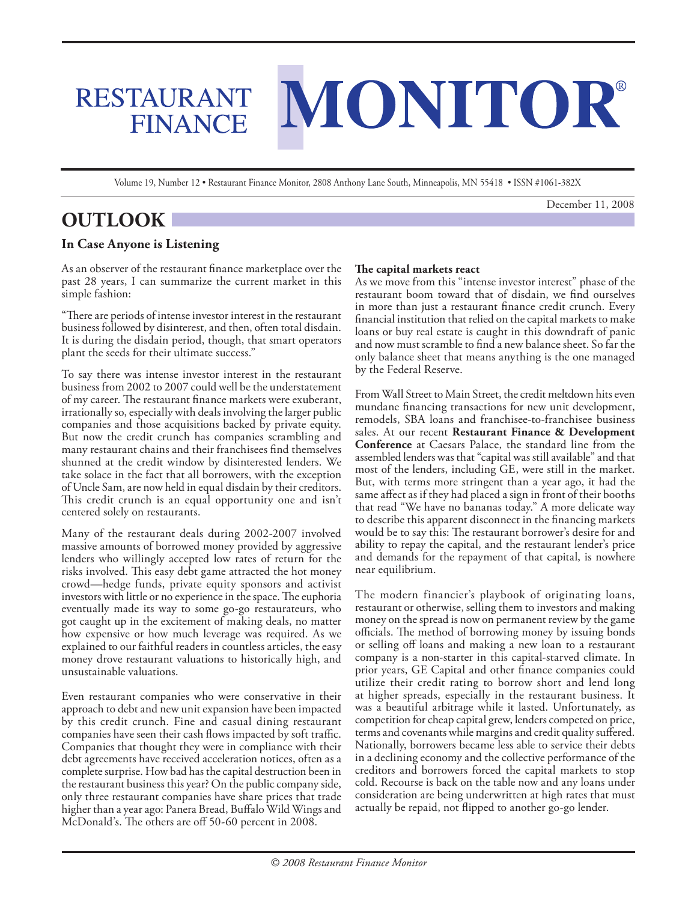# MONITOR

Volume 19, Number 12 • Restaurant Finance Monitor, 2808 Anthony Lane South, Minneapolis, MN 55418 • ISSN #1061-382X

December 11, 2008

# **OUTLOOK**

# **In Case Anyone is Listening**

RESTAURANT

**FINANCE** 

As an observer of the restaurant finance marketplace over the past 28 years, I can summarize the current market in this simple fashion:

"There are periods of intense investor interest in the restaurant business followed by disinterest, and then, often total disdain. It is during the disdain period, though, that smart operators plant the seeds for their ultimate success."

To say there was intense investor interest in the restaurant business from 2002 to 2007 could well be the understatement of my career. The restaurant finance markets were exuberant, irrationally so, especially with deals involving the larger public companies and those acquisitions backed by private equity. But now the credit crunch has companies scrambling and many restaurant chains and their franchisees find themselves shunned at the credit window by disinterested lenders. We take solace in the fact that all borrowers, with the exception of Uncle Sam, are now held in equal disdain by their creditors. This credit crunch is an equal opportunity one and isn't centered solely on restaurants.

Many of the restaurant deals during 2002-2007 involved massive amounts of borrowed money provided by aggressive lenders who willingly accepted low rates of return for the risks involved. This easy debt game attracted the hot money crowd—hedge funds, private equity sponsors and activist investors with little or no experience in the space. The euphoria eventually made its way to some go-go restaurateurs, who got caught up in the excitement of making deals, no matter how expensive or how much leverage was required. As we explained to our faithful readers in countless articles, the easy money drove restaurant valuations to historically high, and unsustainable valuations.

Even restaurant companies who were conservative in their approach to debt and new unit expansion have been impacted by this credit crunch. Fine and casual dining restaurant companies have seen their cash flows impacted by soft traffic. Companies that thought they were in compliance with their debt agreements have received acceleration notices, often as a complete surprise. How bad has the capital destruction been in the restaurant business this year? On the public company side, only three restaurant companies have share prices that trade higher than a year ago: Panera Bread, Buffalo Wild Wings and McDonald's. The others are off 50-60 percent in 2008.

## **The capital markets react**

As we move from this "intense investor interest" phase of the restaurant boom toward that of disdain, we find ourselves in more than just a restaurant finance credit crunch. Every financial institution that relied on the capital markets to make loans or buy real estate is caught in this downdraft of panic and now must scramble to find a new balance sheet. So far the only balance sheet that means anything is the one managed by the Federal Reserve.

From Wall Street to Main Street, the credit meltdown hits even mundane financing transactions for new unit development, remodels, SBA loans and franchisee-to-franchisee business sales. At our recent **Restaurant Finance & Development Conference** at Caesars Palace, the standard line from the assembled lenders was that "capital was still available" and that most of the lenders, including GE, were still in the market. But, with terms more stringent than a year ago, it had the same affect as if they had placed a sign in front of their booths that read "We have no bananas today." A more delicate way to describe this apparent disconnect in the financing markets would be to say this: The restaurant borrower's desire for and ability to repay the capital, and the restaurant lender's price and demands for the repayment of that capital, is nowhere near equilibrium.

The modern financier's playbook of originating loans, restaurant or otherwise, selling them to investors and making money on the spread is now on permanent review by the game officials. The method of borrowing money by issuing bonds or selling off loans and making a new loan to a restaurant company is a non-starter in this capital-starved climate. In prior years, GE Capital and other finance companies could utilize their credit rating to borrow short and lend long at higher spreads, especially in the restaurant business. It was a beautiful arbitrage while it lasted. Unfortunately, as competition for cheap capital grew, lenders competed on price, terms and covenants while margins and credit quality suffered. Nationally, borrowers became less able to service their debts in a declining economy and the collective performance of the creditors and borrowers forced the capital markets to stop cold. Recourse is back on the table now and any loans under consideration are being underwritten at high rates that must actually be repaid, not flipped to another go-go lender.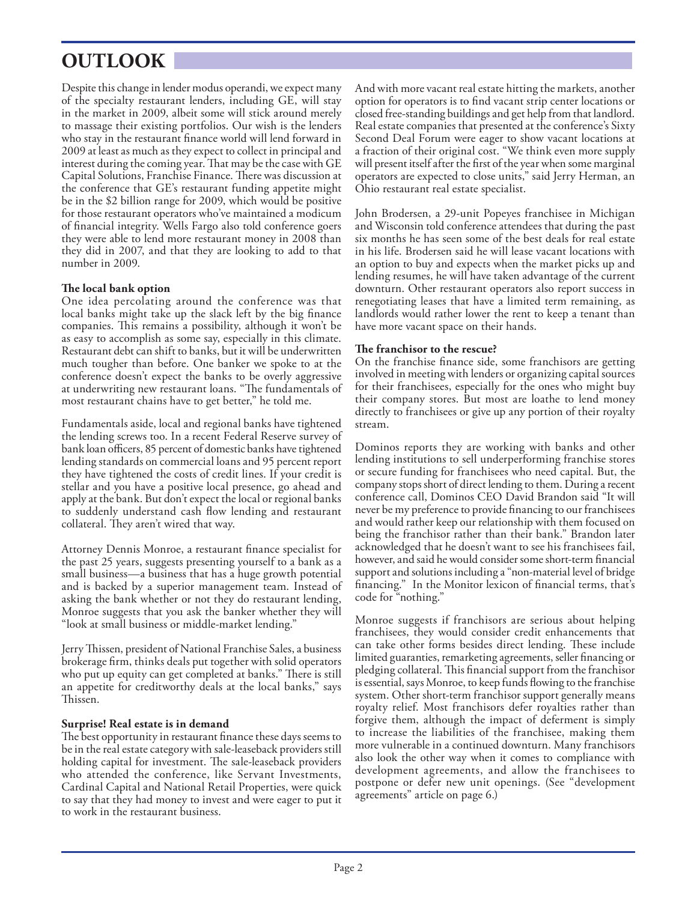# **OUTLOOK**

Despite this change in lender modus operandi, we expect many of the specialty restaurant lenders, including GE, will stay in the market in 2009, albeit some will stick around merely to massage their existing portfolios. Our wish is the lenders who stay in the restaurant finance world will lend forward in 2009 at least as much as they expect to collect in principal and interest during the coming year. That may be the case with GE Capital Solutions, Franchise Finance. There was discussion at the conference that GE's restaurant funding appetite might be in the \$2 billion range for 2009, which would be positive for those restaurant operators who've maintained a modicum of financial integrity. Wells Fargo also told conference goers they were able to lend more restaurant money in 2008 than they did in 2007, and that they are looking to add to that number in 2009.

## **The local bank option**

One idea percolating around the conference was that local banks might take up the slack left by the big finance companies. This remains a possibility, although it won't be as easy to accomplish as some say, especially in this climate. Restaurant debt can shift to banks, but it will be underwritten much tougher than before. One banker we spoke to at the conference doesn't expect the banks to be overly aggressive at underwriting new restaurant loans. "The fundamentals of most restaurant chains have to get better," he told me.

Fundamentals aside, local and regional banks have tightened the lending screws too. In a recent Federal Reserve survey of bank loan officers, 85 percent of domestic banks have tightened lending standards on commercial loans and 95 percent report they have tightened the costs of credit lines. If your credit is stellar and you have a positive local presence, go ahead and apply at the bank. But don't expect the local or regional banks to suddenly understand cash flow lending and restaurant collateral. They aren't wired that way.

Attorney Dennis Monroe, a restaurant finance specialist for the past 25 years, suggests presenting yourself to a bank as a small business—a business that has a huge growth potential and is backed by a superior management team. Instead of asking the bank whether or not they do restaurant lending, Monroe suggests that you ask the banker whether they will "look at small business or middle-market lending."

Jerry Thissen, president of National Franchise Sales, a business brokerage firm, thinks deals put together with solid operators who put up equity can get completed at banks." There is still an appetite for creditworthy deals at the local banks," says Thissen.

### **Surprise! Real estate is in demand**

The best opportunity in restaurant finance these days seems to be in the real estate category with sale-leaseback providers still holding capital for investment. The sale-leaseback providers who attended the conference, like Servant Investments, Cardinal Capital and National Retail Properties, were quick to say that they had money to invest and were eager to put it to work in the restaurant business.

And with more vacant real estate hitting the markets, another option for operators is to find vacant strip center locations or closed free-standing buildings and get help from that landlord. Real estate companies that presented at the conference's Sixty Second Deal Forum were eager to show vacant locations at a fraction of their original cost. "We think even more supply will present itself after the first of the year when some marginal operators are expected to close units," said Jerry Herman, an Ohio restaurant real estate specialist.

John Brodersen, a 29-unit Popeyes franchisee in Michigan and Wisconsin told conference attendees that during the past six months he has seen some of the best deals for real estate in his life. Brodersen said he will lease vacant locations with an option to buy and expects when the market picks up and lending resumes, he will have taken advantage of the current downturn. Other restaurant operators also report success in renegotiating leases that have a limited term remaining, as landlords would rather lower the rent to keep a tenant than have more vacant space on their hands.

#### **The franchisor to the rescue?**

On the franchise finance side, some franchisors are getting involved in meeting with lenders or organizing capital sources for their franchisees, especially for the ones who might buy their company stores. But most are loathe to lend money directly to franchisees or give up any portion of their royalty stream.

Dominos reports they are working with banks and other lending institutions to sell underperforming franchise stores or secure funding for franchisees who need capital. But, the company stops short of direct lending to them. During a recent conference call, Dominos CEO David Brandon said "It will never be my preference to provide financing to our franchisees and would rather keep our relationship with them focused on being the franchisor rather than their bank." Brandon later acknowledged that he doesn't want to see his franchisees fail, however, and said he would consider some short-term financial support and solutions including a "non-material level of bridge financing." In the Monitor lexicon of financial terms, that's code for "nothing."

Monroe suggests if franchisors are serious about helping franchisees, they would consider credit enhancements that can take other forms besides direct lending. These include limited guaranties, remarketing agreements, seller financing or pledging collateral. This financial support from the franchisor is essential, says Monroe, to keep funds flowing to the franchise system. Other short-term franchisor support generally means royalty relief. Most franchisors defer royalties rather than forgive them, although the impact of deferment is simply to increase the liabilities of the franchisee, making them more vulnerable in a continued downturn. Many franchisors also look the other way when it comes to compliance with development agreements, and allow the franchisees to postpone or defer new unit openings. (See "development agreements" article on page 6.)